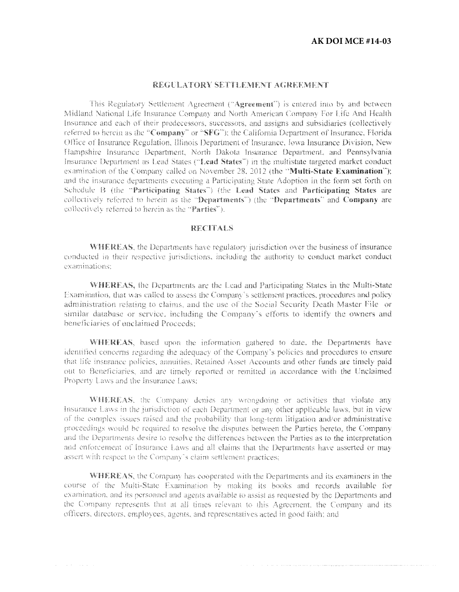التاريخ والمتحدث والتساهد والمستخدم والمتحدث المتعاقد والمستخدم والموارد والمستخدم والمتحدث والمتحدث والمتحدث والتحارب المتحديد

### REGULATORY SETTLEMENT AGREEMENT

This Regulatory Settlement Agreement ("Agreement") is entered into by and between Midland National Life Insurance Company and North American Company For Life And Health Insurance and each of their predecessors, successors, and assigns and subsidiaries (collectively referred to herein as the "Company" or "SFG"); the California Department of Insurance, Florida Office of Insurance Regulation, Illinois Department of Insurance, Iowa Insurance Division, New Hampshire Insurance Department, North Dakota Insurance Department, and Pennsylvania Insurance Department as Lead States ("Lead States") in the multistate targeted market conduct examination of the Company called on November 28, 2012 (the "Multi-State Examination"); and the insurance departments executing a Participating State Adoption in the form set forth on Schedule B (the "Participating States") (the Lead States and Participating States are collectively referred to herein as the "Departments") (the "Departments" and Company are collectively referred to herein as the "Parties").

### **RECITALS**

WHEREAS, the Departments have regulatory jurisdiction over the business of insurance conducted in their respective jurisdictions, including the authority to conduct market conduct examinations:

WHEREAS, the Departments are the Lead and Participating States in the Multi-State Examination, that was called to assess the Company's settlement practices, procedures and policy administration relating to claims, and the use of the Social Security Death Master File or similar database or service, including the Company's efforts to identify the owners and beneficiaries of unclaimed Proceeds:

WHEREAS, based upon the information gathered to date, the Departments have identified concerns regarding the adequacy of the Company's policies and procedures to ensure that life insurance policies, annuities, Retained Asset Accounts and other funds are timely paid out to Beneficiaries, and are timely reported or remitted in accordance with the Unclaimed Property Laws and the Insurance Laws:

WHEREAS, the Company denies any wrongdoing or activities that violate any Insurance Laws in the jurisdiction of each Department or any other applicable laws, but in view of the complex issues raised and the probability that long-term litigation and/or administrative proceedings would be required to resolve the disputes between the Parties hereto, the Company and the Departments desire to resolve the differences between the Parties as to the interpretation and enforcement of Insurance Laws and all claims that the Departments have asserted or may assert with respect to the Company's claim settlement practices;

**WHEREAS**, the Company has cooperated with the Departments and its examiners in the course of the Multi-State Examination by making its books and records available for examination, and its personnel and agents available to assist as requested by the Departments and the Company represents that at all times relevant to this Agreement, the Company and its officers, directors, employees, agents, and representatives acted in good faith; and

 $\alpha$  , and  $\alpha$  , and  $\alpha$  , and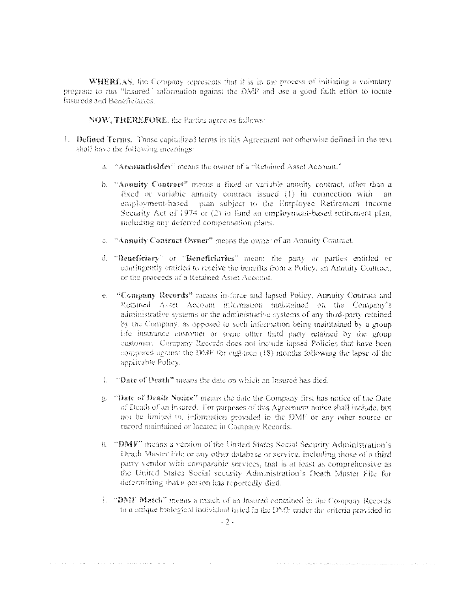**WHEREAS**, the Company represents that it is in the process of initiating a voluntary program to run "Insured" information against the DMF and use a good faith effort to locate Insureds and Beneficiaries

NOW, THEREFORE, the Parties agree as follows:

- 1. Defined Terms, Those capitalized terms in this Agreement not otherwise defined in the text shall have the following meanings:
	- a. "Accountholder" means the owner of a "Retained Asset Account."
	- b. "Annuity Contract" means a fixed or variable annuity contract, other than a fixed or variable annuity contract issued (1) in connection with employment-based plan subject to the Employee Retirement Income Security Act of 1974 or (2) to fund an employment-based retirement plan, including any deferred compensation plans.
	- c. "Annuity Contract Owner" means the owner of an Annuity Contract.
	- d. "Beneficiary" or "Beneficiaries" means the party or parties entitled or contingently entitled to receive the benefits from a Policy, an Annuity Contract. or the proceeds of a Retained Asset Account.
	- e. "Company Records" means in-force and lapsed Policy, Annuity Contract and Retained Asset Account information maintained on the Company's administrative systems or the administrative systems of any third-party retained by the Company, as opposed to such information being maintained by a group life insurance customer or some other third party retained by the group customer. Company Records does not include lapsed Policies that have been compared against the DMF for eighteen  $(18)$  months following the lapse of the applicable Policy.
	- f. "Date of Death" means the date on which an Insured has died.
	- g. "Date of Death Notice" means the date the Connuany first has notice of the Date of Death of an Insured. For purposes of this Agreement notice shall include, but not be limited to, information provided in the DMF or any other source or record maintained or located in Company Records.
	- h. "DMF" means a version of the United States Social Security Administration's Death Master File or any other database or service, including those of a third party vendor with comparable services, that is at least as comprehensive as the United States Social security Administration's Death Master File for determining that a person has reportedly died.
	- i. "DMF Match" means a match of an Insured contained in the Company Records to a unique biological individual listed in the DMF under the criteria provided in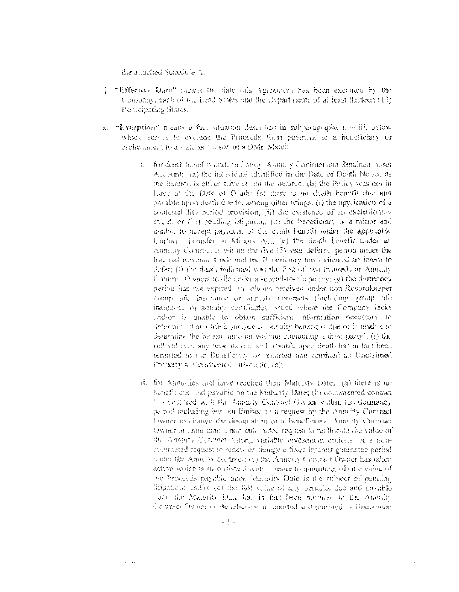the attached Schedule A.

- . "Effective Date" means the date this Agreement has been executed by the Company, each of the Lead States and the Departments of at least thirteen (13) Participating States.
- k. "Exception" means a fact situation described in subparagraphs  $i. iii.$  below which serves to exclude the Proceeds from payment to a beneficiary or escheatment to a state as a result of a DMF Match:
	- i. for death benefits under a Policy, Annuity Contract and Retained Asset Account: (a) the individual identified in the Date of Death Notice as the Insured is either alive or not the Insured; (b) the Policy was not in force at the Date of Death; (c) there is no death benefit due and payable upon death due to, among other things: (i) the application of a contestability period provision, (ii) the existence of an exclusionary event, or (iii) pending litigation; (d) the beneficiary is a minor and unable to accept payment of the death benefit under the applicable Uniform Transfer to Minors Act; (e) the death benefit under an Annuity Contract is within the five (5) year deferral period under the Internal Revenue Code and the Beneficiary has indicated an intent to defer; (f) the death indicated was the first of two Insureds or Annuity Contract Owners to die under a second-to-die policy;  $(g)$  the dormancy period has not expired; (h) claims received under non-Recordkeeper group life insurance or annuity contracts (including group life insurance or annuity certificates issued where the Company lacks and/or is unable to obtain sufficient information necessary to determine that a life insurance or annuity benefit is due or is unable to determine the benefit amount without contacting a third party); (i) the full value of any benefits due and payable upon death has in fact been remitted to the Beneficiary or reported and remitted as Unclaimed Property to the affected jurisdiction(s);
	- ii. for Annuities that have reached their Maturity Date: (a) there is no benefit due and pavable on the Maturity Date; (b) documented contact has occurred with the Annuity Contract Owner within the dormancy period including but not limited to a request by the Annuity Contract Owner to change the designation of a Beneficiary, Annuity Contract Owner or annuitant; a non-automated request to reallocate the value of the Annuity Contract among variable investment options; or a nonautomated request to renew or change a fixed interest guarantee period. under the Annuity contract; (c) the Annuity Contract Owner has taken action which is inconsistent with a desire to annuitize;  $(d)$  the value of the Proceeds payable upon Maturity Date is the subject of pending litigation; and/or (e) the full value of any benefits due and payable upon the Maturity Date has in fact been remitted to the Annuity Contract Owner or Beneficiary or reported and remitted as Unclaimed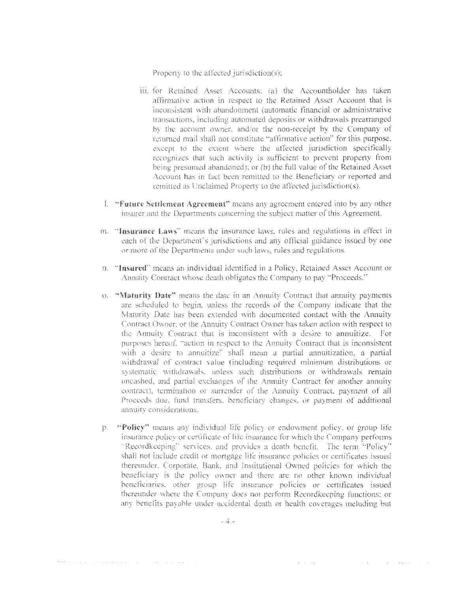Property to the affected jurisdiction(s):

- iii. for Retained Asset Accounts: (a) the Accountholder has taken affirmative action in respect to the Retained Asset Account that is inconsistent with abandonment (automatic financial or administrative transactions, including automated deposits or withdrawals prearranged by the account owner, and/or the non-receipt by the Company of returned mail shall not constitute "affirmative action" for this purpose, except to the extent where the affected jurisdiction specifically recognizes that such activity is sufficient to prevent property from being presumed abandoned); or (b) the full value of the Retained Asset Account has in fact been remitted to the Beneficiary or reported and remitted as Unclaimed Property to the affected jurisdiction(s).
- 1. "Future Settlement Agreement" means any agreement entered into by any other insurer and the Departments concerning the subject matter of this Agreement.
- m. "Insurance Laws" means the insurance laws, rules and regulations in effect in each of the Department's jurisdictions and any official guidance issued by one or more of the Departments under such laws, rules and regulations.
- n. "Insured" means an individual identified in a Policy, Retained Asset Account or Annuity Contract whose death obligates the Company to pay "Proceeds."
- o. "Maturity Date" means the date in an Annuity Contract that annuity payments are scheduled to begin, unless the records of the Company indicate that the Maturity Date has been extended with documented contact with the Annuity Contract Owner, or the Annuity Contract Owner has taken action with respect to the Annuity Contract that is inconsistent with a desire to annuitize. For purposes hereof, "action in respect to the Annuity Contract that is inconsistent with a desire to annuitize" shall mean a partial annuitization, a partial withdrawal of contract value (including required minimum distributions or systematic withdrawals, unless such distributions or withdrawals remain uncashed, and partial exchanges of the Annuity Contract for another annuity contract), termination or surrender of the Annuity Contract, payment of all Proceeds due, fund transfers, beneficiary changes, or payment of additional annuity considerations.
- "Policy" means any individual life policy or endowment policy, or group life  $D$ insurance policy or certificate of life insurance for which the Company performs "Recordkeeping" services, and provides a death benefit. The term "Policy" shall not include credit or mortgage life insurance policies or certificates issued thereunder, Corporate, Bank, and Institutional Owned policies for which the beneficiary is the policy owner and there are no other known individual beneficiaries, other group life insurance policies or certificates issued thereunder where the Company does not perform Recordkeeping functions; or any benefits payable under accidental death or health coverages including but

 $\mathcal{A}=\mathcal{A}$  , and  $\mathcal{A}=\mathcal{A}$ 

 $\mathcal{O}(\log\log n)$  , where  $\mathcal{O}(\log n)$  is a simple of the  $\log n$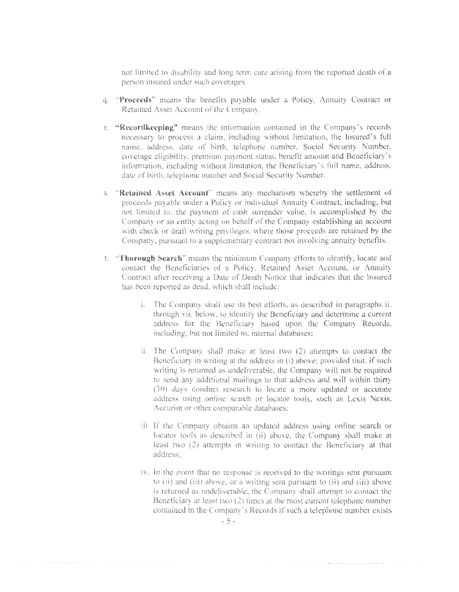not limited to disability and long term care arising from the reported death of a person insured under such coverages.

- q. "Proceeds" means the benefits payable under a Policy, Annuity Contract or Retained Asset Account of the Company.
- r. "Recordkeeping" means the information contained in the Company's records necessary to process a claim, including without limitation, the Insured's full name, address, date of birth, telephone number, Social Security Number, coverage eligibility, premium payment status, benefit amount and Beneficiary's information, including without limitation, the Beneficiary's full name, address, date of birth, telephone number and Social Security Number.
- s. "Retained Asset Account" means any mechanism whereby the settlement of proceeds payable under a Policy or individual Annuity Contract, including, but not limited to, the payment of eash surrender value, is accomplished by the Company or an entity acting on behalf of the Company establishing an account with check or draft writing privileges, where those proceeds are retained by the Company, pursuant to a supplementary contract not involving annuity benefits.
- t. "Thorough Search" means the minimum Company efforts to identify, locate and contact the Beneficiaries of a Policy, Retained Asset Account, or Annuity Contract after receiving a Date of Death Notice that indicates that the Insured has been reported as dead, which shall include:
	- i. The Company shall use its best efforts, as described in paragraphs ii. through vii, below, to identify the Beneficiary and determine a current address for the Beneficiary based upon the Company Records, including, but not limited to, internal databases;
	- ii. The Company shall make at least two (2) attempts to contact the Beneficiary in writing at the address in (i) above; provided that, if such writing is returned as undeliverable, the Company will not be required to send any additional mailings to that address and will within thirty (30) days conduct research to locate a more updated or accurate address using online search or locator tools, such as Lexis Nexis, Accurint or other comparable databases;
	- iii. If the Company obtains an updated address using online search or locator tools as described in (ii) above, the Company shall make at least two (2) attempts in writing to contact the Beneficiary at that address:
	- iv. In the event that no response is received to the writings sent pursuant to (ii) and (iii) above, or a writing sent pursuant to (ii) and (iii) above is returned as undeliverable, the Company shall attempt to contact the Beneficiary at least two (2) times at the most current telephone number contained in the Company's Records if such a telephone number exists

 $\label{eq:2} \begin{split} \mathcal{L}_{\mathcal{A}}(\mathcal{A})&=\mathcal{L}_{\mathcal{A}}(\mathcal{A})\otimes\mathcal{L}_{\mathcal{A}}(\mathcal{A})\otimes\mathcal{L}_{\mathcal{A}}(\mathcal{A})\otimes\mathcal{L}_{\mathcal{A}}(\mathcal{A})\otimes\mathcal{L}_{\mathcal{A}}(\mathcal{A})\otimes\mathcal{L}_{\mathcal{A}}(\mathcal{A})\otimes\mathcal{L}_{\mathcal{A}}(\mathcal{A})\otimes\mathcal{L}_{\mathcal{A}}(\mathcal{A})\otimes\mathcal{L}_{\mathcal{A}}(\mathcal{A})\otimes$ 

the contract of the contract of the contract of the contract of the contract of the contract of the contract of the contract of the contract of the contract of the contract of the contract of the contract of the contract o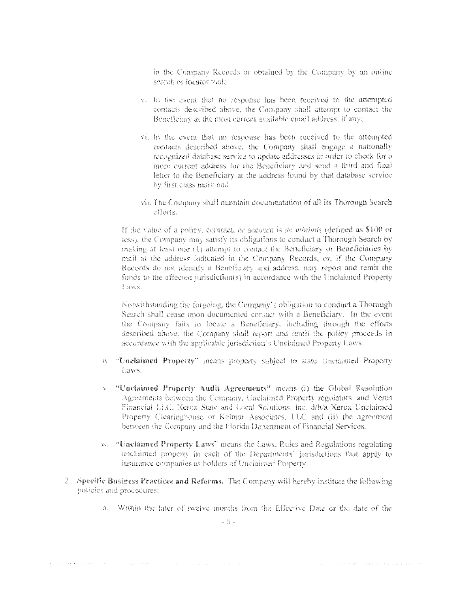in the Company Records or obtained by the Company by an online search or locator tool:

- v. In the event that no response has been received to the attempted contacts described above, the Company shall attempt to contact the Beneficiary at the most current available email address, if any:
- vi. In the event that no response has been received to the attempted contacts described above, the Company shall engage a nationally recognized database service to update addresses in order to check for a more current address for the Beneficiary and send a third and final letter to the Beneficiary at the address found by that database service by first class mail; and
- vii. The Company shall maintain documentation of all its Thorough Search efforts.

If the value of a policy, contract, or account is *de minimis* (defined as \$100 or less), the Company may satisfy its obligations to conduct a Thorough Search by making at least one (1) attempt to contact the Beneficiary or Beneficiaries by mail at the address indicated in the Company Records, or, if the Company Records do not identify a Beneficiary and address, may report and remit the funds to the affected jurisdiction(s) in accordance with the Unclaimed Property Laws.

Notwithstanding the forgoing, the Company's obligation to conduct a Thorough Search shall cease upon documented contact with a Beneficiary. In the event the Company fails to locate a Beneficiary, including through the efforts described above, the Company shall report and remit the policy proceeds in accordance with the applicable jurisdiction's Unclaimed Property Laws.

- u. "Unclaimed Property" means property subject to state Unclaimed Property Laws.
- v. "Unclaimed Property Audit Agreements" means (i) the Global Resolution Agreements between the Company, Unclaimed Property regulators, and Verus Financial LLC, Xerox State and Local Solutions. Inc. d/b/a Xerox Unclaimed Property Clearinghouse or Kelmar Associates, LLC and (ii) the agreement between the Company and the Florida Department of Financial Services.
- w. "Unclaimed Property Laws" means the Laws, Rules and Regulations regulating unclaimed property in each of the Departments' jurisdictions that apply to insurance companies as holders of Unclaimed Property.
- 2. Specific Business Practices and Reforms. The Company will hereby institute the following policies and procedures:
	- a. Within the later of twelve months from the Effective Date or the date of the

and communication of the communication of the communication of the communication of the communication of the c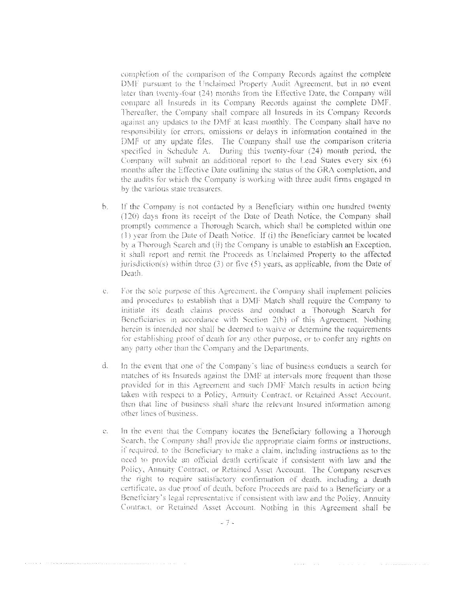completion of the comparison of the Company Records against the complete DMF pursuant to the Unclaimed Property Audit Agreement, but in no event later than twenty-four (24) months from the Effective Date, the Company will compare all Insureds in its Company Records against the complete DMF. Thereafter, the Company shall compare all Insureds in its Company Records against any updates to the DMF at least monthly. The Company shall have no responsibility for errors, omissions or delays in information contained in the DMF or any undate files. The Company shall use the comparison criteria specified in Schedule A. During this twenty-four (24) month period, the Company will submit an additional report to the Lead States every six (6) months after the Effective Date outlining the status of the GRA completion, and the audits for which the Company is working with three audit firms engaged in by the various state treasurers.

- If the Company is not contacted by a Beneficiary within one hundred twenty  $\mathbb{R}$ (120) days from its receipt of the Date of Death Notice, the Company shall promptly commence a Thorough Search, which shall be completed within one (1) year from the Date of Death Notice. If (i) the Beneficiary cannot be located by a Thorough Search and (ii) the Company is unable to establish an Exception, it shall report and remit the Proceeds as Unclaimed Property to the affected jurisdiction(s) within three  $(3)$  or five  $(5)$  years, as applicable, from the Date of Death.
- For the sole purpose of this Agreement, the Company shall implement policies  $\mathcal{C}$ . and procedures to establish that a DMF Match shall require the Company to initiate its death claims process and conduct a Thorough Search for Beneficiaries in accordance with Section 2(b) of this Agreement. Nothing herein is intended not shall be deemed to waive or determine the requirements for establishing proof of death for any other purpose, or to confer any rights on any party other than the Company and the Departments.
- $\mathcal{L}$ In the event that one of the Company's line of business conducts a search for matches of its Insureds against the DMF at intervals more frequent than those provided for in this Agreement and such DMF Match results in action being taken with respect to a Policy, Annuity Contract, or Retained Asset Account, then that line of business shall share the relevant Insured information among other lines of business.
- $\mathbb{C}$ . In the event that the Company locates the Beneficiary following a Thorough Search, the Company shall provide the appropriate claim forms or instructions. if required, to the Beneficiary to make a claim, including instructions as to the need to provide an official death certificate if consistent with law and the Policy, Annuity Contract, or Retained Asset Account. The Company reserves the right to require satisfactory confirmation of death, including a death certificate, as due proof of death, before Proceeds are paid to a Beneficiary or a Beneficiary's legal representative if consistent with law and the Policy, Annuity Contract, or Retained Asset Account. Nothing in this Agreement shall be

where  $\alpha$  is a set of the set of the set of the set of the constraint matrix of the  $\alpha$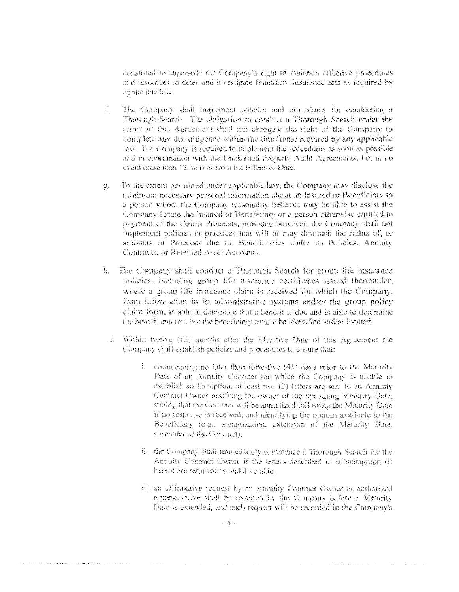construed to supersede the Company's right to maintain effective procedures and resources to deter and investigate fraudulent insurance acts as required by applicable law.

- $\mathbb{C}$ The Company shall implement policies and procedures for conducting a Thorough Search. The obligation to conduct a Thorough Search under the terms of this Agreement shall not abrogate the right of the Company to complete any due diligence within the timeframe required by any applicable law. The Company is required to implement the procedures as soon as possible and in coordination with the Unclaimed Property Audit Agreements, but in no event more than 12 months from the Effective Date.
- To the extent permitted under applicable law, the Company may disclose the  $\mathbb{R}$ minimum necessary personal information about an Insured or Beneficiary to a person whom the Company reasonably believes may be able to assist the Company locate the Insured or Beneficiary or a person otherwise entitled to payment of the claims Proceeds, provided however, the Company shall not implement policies or practices that will or may diminish the rights of, or amounts of Proceeds due to, Beneficiaries under its Policies, Annuity Contracts, or Retained Asset Accounts.
- h. The Company shall conduct a Thorough Search for group life insurance policies, including group life insurance certificates issued thereunder, where a group life insurance claim is received for which the Company, from information in its administrative systems and/or the group policy claim form, is able to determine that a benefit is due and is able to determine the benefit amount, but the beneficiary cannot be identified and/or located.
	- i. Within twelve (12) months after the Effective Date of this Agreement the Company shall establish policies and procedures to ensure that:
		- i. commencing no later than forty-five (45) days prior to the Maturity Date of an Annuity Contract for which the Company is unable to establish an Exception, at least two (2) letters are sent to an Annuity Contract Owner notifying the owner of the upcoming Maturity Date, stating that the Contract will be annuitized following the Maturity Date if no response is received, and identifying the options available to the Beneficiary (e.g., annuitization, extension of the Maturity Date, surrender of the Contract):
		- ii. the Company shall immediately commence a Thorough Search for the Annuity Contract Owner if the letters described in subparagraph (i) hereof are returned as undeliverable:
		- iii. an affirmative request by an Annuity Contract Owner or authorized representative shall be required by the Company before a Maturity Date is extended, and such request will be recorded in the Company's

المحاولة والمتواطن والمتواطن والمتواطن والمتعاقلة والمتعاقلة والمتواطن والمتواطن والمتواطن والمتواطن والمتواطن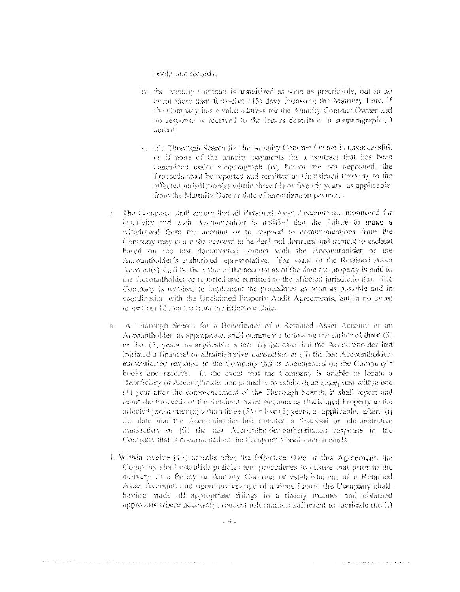books and records:

- iv. the Annuity Contract is annuitized as soon as practicable, but in no event more than forty-five (45) days following the Maturity Date, if the Company has a valid address for the Annuity Contract Owner and no response is received to the letters described in subparagraph (i) herenf:
- v. if a Thorough Search for the Annuity Contract Owner is unsuccessful, or if none of the annuity payments for a contract that has been annuitized under subparagraph (iv) hereof are not deposited, the Proceeds shall be reported and remitted as Unclaimed Property to the affected jurisdiction(s) within three (3) or five (5) years, as applicable, from the Maturity Date or date of annuitization payment.
- *i.* The Company shall ensure that all Retained Asset Accounts are monitored for inactivity and each Accountholder is notified that the failure to make a withdrawal from the account or to respond to communications from the Company may cause the account to be declared dormant and subject to escheat based on the last documented contact with the Accountholder or the Accountholder's authorized representative. The value of the Retained Asset Account(s) shall be the value of the account as of the date the property is paid to the Accountholder or reported and remitted to the affected jurisdiction(s). The Company is required to implement the procedures as soon as possible and in coordination with the Unclaimed Property Audit Agreements, but in no event more than 12 months from the Effective Date.
- k. A Thorough Search for a Beneficiary of a Retained Asset Account or an Accountholder, as appropriate, shall commence following the earlier of three  $(3)$ or five  $(5)$  years, as applicable, after:  $(i)$  the date that the Accountholder last initiated a financial or administrative transaction or (ii) the last Accountholderauthenticated response to the Company that is documented on the Company's books and records. In the event that the Company is unable to locate a Beneficiary or Accountholder and is unable to establish an Exception within one (1) year after the commencement of the Thorough Search, it shall report and remit the Proceeds of the Retained Asset Account as Unclaimed Property to the affected jurisdiction(s) within three  $(3)$  or five  $(5)$  years, as applicable, after:  $(i)$ the date that the Accountholder last initiated a financial or administrative transaction or (ii) the last Accountholder-authenticated response to the Company that is documented on the Company's books and records.
- I. Within twelve (12) months after the Effective Date of this Agreement, the Company shall establish policies and procedures to ensure that prior to the delivery of a Policy or Annuity Contract or establishment of a Retained Asset Account, and upon any change of a Beneficiary, the Company shall, having made all appropriate filings in a timely manner and obtained approvals where necessary, request information sufficient to facilitate the (i)

. The second constraint is a second constraint of  $\alpha$ 

.<br>And the office of a case of the case of the case of a case of the complete of the case of the case of the case of the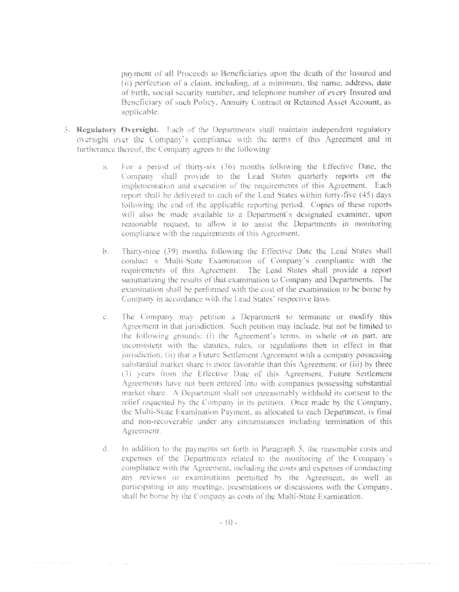payment of all Proceeds to Beneficiaries upon the death of the Insured and (ii) perfection of a claim, including, at a minimum, the name, address, date of birth, social security number, and telephone number of every Insured and Beneficiary of such Policy. Annuity Contract or Retained Asset Account, as applicable.

- 3. Regulatory Oversight. Each of the Departments shall maintain independent regulatory oversight over the Company's compliance with the terms of this Agreement and in furtherance thereof, the Company agrees to the following:
	- For a period of thirty-six (36) months following the Effective Date, the  $\mathbb{S}^{\mathbb{N}}_{\mathbb{R}}$  . Company shall provide to the Lead States quarterly reports on the implementation and execution of the requirements of this Agreement. Each report shall be delivered to each of the Lead States within forty-five (45) days following the end of the applicable reporting period. Copies of these reports will also be made available to a Department's designated examiner, upon reasonable request, to allow it to assist the Departments in monitoring compliance with the requirements of this Agreement.
	- Thirty-nine (39) months following the Effective Date the Lead States shall  $b<sub>1</sub>$ conduct a Multi-State Examination of Company's compliance with the requirements of this Agreement. The Lead States shall provide a report summarizing the results of that examination to Company and Departments. The examination shall be performed with the cost of the examination to be borne by Company in accordance with the Lead States' respective laws.
	- The Company may petition a Department to terminate or modify this  $\mathbb{C}$  . Agreement in that jurisdiction. Such petition may include, but not be limited to the following grounds: (i) the Agreement's terms, in whole or in part, are inconsistent with the statutes, rules, or regulations then in effect in that jurisdiction; (ii) that a Future Settlement Agreement with a company possessing substantial market share is more favorable than this Agreement; or (iii) by three (3) years from the Effective Date of this Agreement, Future Settlement Agreements have not been entered into with companies possessing substantial market share. A Department shall not unreasonably withhold its consent to the relief requested by the Company in its petition. Once made by the Company, the Multi-State Examination Payment, as allocated to each Department, is final and non-recoverable under any circumstances including termination of this Agreement.
	- $\frac{1}{\sqrt{2}}$ In addition to the payments set forth in Paragraph 5, the reasonable costs and expenses of the Departments related to the monitoring of the Company's compliance with the Agreement, including the costs and expenses of conducting any reviews or examinations permitted by the Agreement, as well as participating in any meetings, presentations or discussions with the Company, shall be borne by the Company as costs of the Multi-State Examination.

.<br>The contract of the contract of the contract of the contract of the contract of the contract of the contract of

 $\alpha$  , we assume that the same of the set of the set of the same of the same of  $\alpha$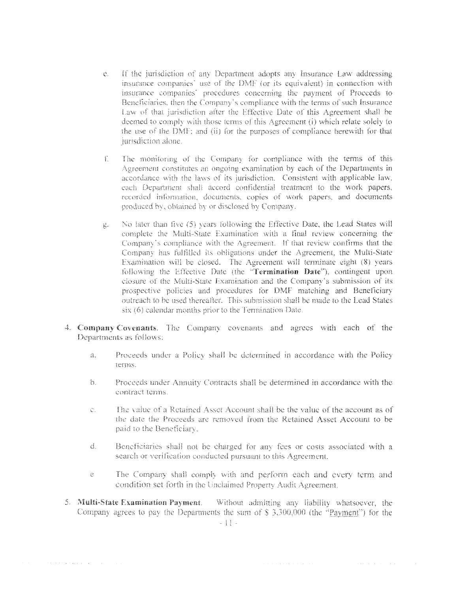- Ĉ. If the jurisdiction of any Department adopts any Insurance Law addressing insurance companies' use of the DMF (or its equivalent) in connection with insurance companies' procedures concerning the payment of Proceeds to Beneficiaries, then the Company's compliance with the terms of such Insurance Law of that jurisdiction after the Effective Date of this Agreement shall be deemed to comply with those terms of this Agreement (i) which relate solely to the use of the DMF; and (ii) for the purposes of compliance herewith for that jurisdiction alone.
- The monitoring of the Company for compliance with the terms of this  $\int_{\frac{1}{2}}^{\frac{1}{2}}$ Agreement constitutes an ongoing examination by each of the Departments in accordance with the laws of its jurisdiction. Consistent with applicable law, each Department shall accord confidential treatment to the work papers. recorded information, documents, copies of work papers, and documents produced by, obtained by or disclosed by Company.
- No later than five (5) years following the Effective Date, the Lead States will  $\sum_{i=1}^{n} \alpha_i$ complete the Multi-State Examination with a final review concerning the Company's compliance with the Agreement. If that review confirms that the Company has fulfilled its obligations under the Agreement, the Multi-State Examination will be closed. The Agreement will terminate eight (8) years following the Effective Date (the "Termination Date"), contingent upon closure of the Multi-State Examination and the Company's submission of its prospective policies and procedures for DMF matching and Beneficiary outreach to be used thereafter. This submission shall be made to the Lead States  $s$ ix  $(6)$  calendar months prior to the Termination Date.
- 4. Company Covenants. The Company covenants and agrees with each of the Departments as follows:
	- Proceeds under a Policy shall be determined in accordance with the Policy  $\tilde{\Omega}$  . terms.
	- ł. Proceeds under Annuity Contracts shall be determined in accordance with the contract terms.
	- The value of a Retained Asset Account shall be the value of the account as of  $\int_{\mathrm{BMO}}^{t_{\mathrm{H}}}\omega_{\mathrm{H}}$ the date the Proceeds are removed from the Retained Asset Account to be paid to the Beneficiary.
	- $\mathbb{C}$ Beneficiaries shall not be charged for any fees or costs associated with a search or verification conducted pursuant to this Agreement.
	- The Company shall comply with and perform each and every term and  $\mathbb{C}^{\times}$ condition set forth in the Unclaimed Property Audit Agreement.

 $\mathcal{A}$  , and  $\mathcal{A}$  is a set of the set of the set of  $\mathcal{A}$ 

 $\mathcal{L}_{\mathcal{A}}$  and  $\mathcal{L}_{\mathcal{A}}$  is a subset of the set of the set of  $\mathcal{A}$ 

5. Multi-State Examination Payment. Without admitting any liability whatsoever, the Company agrees to pay the Departments the sum of \$ 3.300,000 (the "Payment") for the

 $\alpha$  ,  $\alpha$  ,  $\beta$  ,  $\beta$  , and  $\alpha$  , and  $\alpha$  , and  $\alpha$  ,  $\alpha$  ,  $\beta$  ,  $\alpha$  ,  $\beta$  ,  $\alpha$  ,  $\alpha$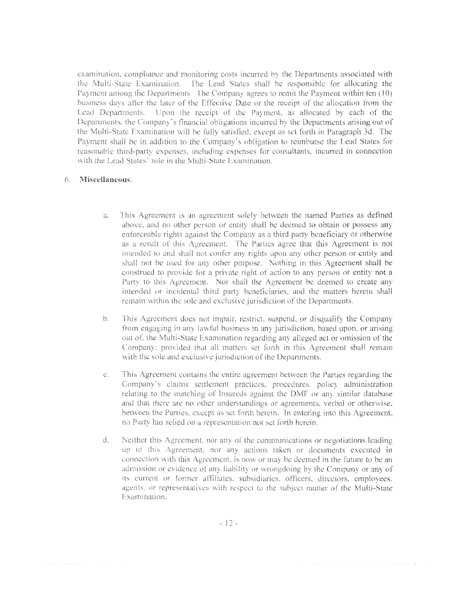examination, compliance and monitoring costs incurred by the Departments associated with the Multi-State Examination. The Lead States shall be responsible for allocating the Payment among the Departments. The Company agrees to remit the Payment within ten (10) business days after the later of the Effective Date or the receipt of the allocation from the Lead Departments. Upon the receipt of the Payment, as allocated by each of the Departments, the Company's financial obligations incurred by the Departments arising out of the Multi-State Examination will be fully satisfied, except as set forth in Paragraph 3d. The Payment shall be in addition to the Company's obligation to reimburse the Lead States for reasonable third-party expenses, including expenses for consultants, incurred in connection with the Lead States' role in the Multi-State Examination.

#### $\mathcal{L}_{\mathcal{L}}$ Miscellaneous.

is a constraint constraint of the state of the state  $\alpha$ 

- This Agreement is an agreement solely between the named Parties as defined 윦. above, and no other person or entity shall be deemed to obtain or possess any enforceable rights against the Company as a third party beneficiary or otherwise as a result of this Agreement. The Parties agree that this Agreement is not intended to and shall not confer any rights upon any other person or entity and shall not be used for any other purpose. Nothing in this Agreement shall be construed to provide for a private right of action to any person or entity not a Party to this Agreement. Nor shall the Agreement be deemed to create any intended or incidental third party beneficiaries, and the matters herein shall remain within the sole and exclusive jurisdiction of the Departments.
- This Agreement does not impair, restrict, suspend, or disqualify the Company  $\mathcal{B}$ . from engaging in any lawful business in any jurisdiction, based upon, or arising out of, the Multi-State Examination regarding any alleged act or omission of the Company; provided that all matters set forth in this Agreement shall remain with the sole and exclusive jurisdiction of the Departments.
- This Agreement contains the entire agreement between the Parties regarding the  $C_{\infty}$ Company's claims settlement practices, procedures, policy administration relating to the matching of Insureds against the DMF or any similar database and that there are no other understandings or agreements, verbal or otherwise, between the Parties, except as set forth herein. In entering into this Agreement, no Party has relied on a representation not set forth herein.
- đ. Neither this Agreement, nor any of the communications or negotiations leading up to this Agreement, nor any actions taken or documents executed in connection with this Agreement, is now or may be deemed in the future to be an admission or evidence of any liability or wrongdoing by the Company or any of its current or former affiliates, subsidiaries, officers, directors, employees, agents, or representatives with respect to the subject matter of the Multi-State Examination.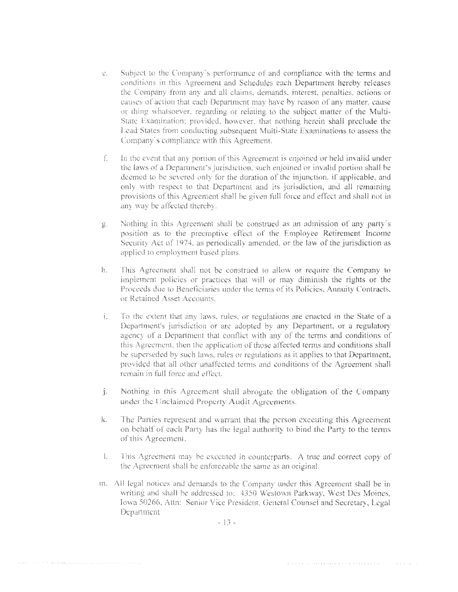- Subject to the Company's performance of and compliance with the terms and  $\mathcal{C}^{\mu}$  . conditions in this Agreement and Schedules each Department hereby releases the Company from any and all claims, demands, interest, penalties, actions or causes of action that each Department may have by reason of any matter, cause or thing whatsoever, regarding or relating to the subject matter of the Multi-State Examination; provided, however, that nothing herein shall preclude the Lead States from conducting subsequent Multi-State Examinations to assess the Company's compliance with this Agreement.
- In the event that any portion of this Agreement is enjoined or held invalid under  $f_{\perp}$ the laws of a Department's jurisdiction, such enjoined or invalid portion shall be deemed to be severed only for the duration of the injunction, if applicable, and only with respect to that Department and its jurisdiction, and all remaining provisions of this Agreement shall be given full force and effect and shall not in any way be affected thereby.
- Nothing in this Agreement shall be construed as an admission of any party's  $\sum_{\alpha\in\mathcal{A}}$ position as to the preemptive effect of the Employee Retirement Income Security Act of 1974, as periodically amended, or the law of the jurisdiction as applied to employment based plans.
- This Agreement shall not be construed to allow or require the Company to  $\frac{4}{3}$  . implement policies or practices that will or may diminish the rights or the Proceeds due to Beneficiaries under the terms of its Policies, Annuity Contracts, or Retained Asset Accounts.
- $\frac{1}{3}$ To the extent that any laws, rules, or regulations are enacted in the State of a Department's jurisdiction or are adopted by any Department, or a regulatory agency of a Department that conflict with any of the terms and conditions of this Agreement, then the application of those affected terms and conditions shall be superseded by such laws, rules or regulations as it applies to that Department, provided that all other unaffected terms and conditions of the Agreement shall *i* emain in full force and effect.
- inger<br>Sterftes Nothing in this Agreement shall abrogate the obligation of the Company under the Unclaimed Property Audit Agreements.
- k. The Parties represent and warrant that the person executing this Agreement on behalf of each Party has the legal authority to bind the Party to the terms of this Agreement.
- This Agreement may be executed in counterparts. A true and correct copy of  $\frac{1}{2}$ the Agreement shall be enforceable the same as an original.
- m. All legal notices and demands to the Company under this Agreement shall be in writing and shall be addressed to: 4350 Westown Parkway, West Des Moines, Iowa 50266, Attn: Senior Vice President, General Counsel and Secretary, Legal Department

 $-13-$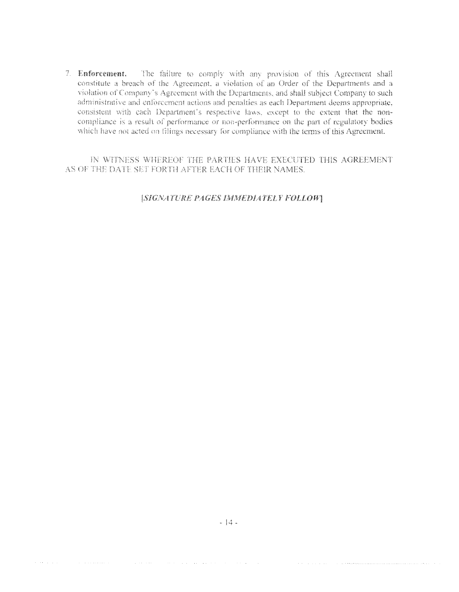7. Enforcement. The failure to comply with any provision of this Agreement shall constitute a breach of the Agreement, a violation of an Order of the Departments and a violation of Company's Agreement with the Departments, and shall subject Company to such administrative and enforcement actions and penalties as each Department deems appropriate, consistent with each Department's respective laws, except to the extent that the noncompliance is a result of performance or non-performance on the part of regulatory bodies which have not acted on filings necessary for compliance with the terms of this Agreement.

IN WITNESS WHEREOF THE PARTIES HAVE EXECUTED THIS AGREEMENT AS OF THE DATE SET FORTH AFTER EACH OF THEIR NAMES.

### [SIGNATURE PAGES IMMEDIATELY FOLLOW]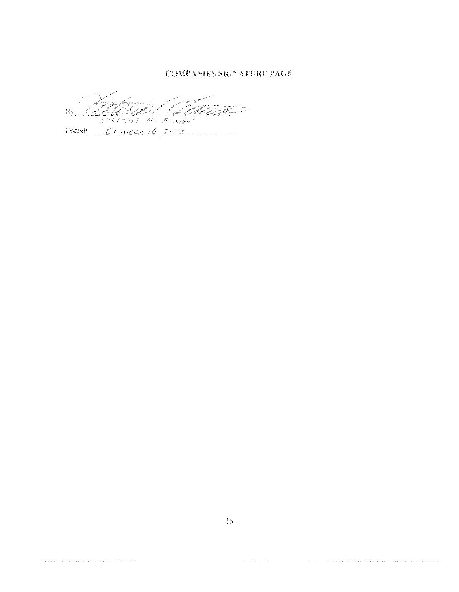**COMPANIES SIGNATURE PAGE** 

<u>MAAL – GEL</u> Bv .<br>وي

Dated: CETOBER 16, 2013

المستحقق والمتحدث والمتحدث والمتحدث والمتعارف والمتحدث والمتحدث والمتحدث والمتحدث

a sua construir a comparativa de la comparación de la comparación de la comparación de la comparación de la co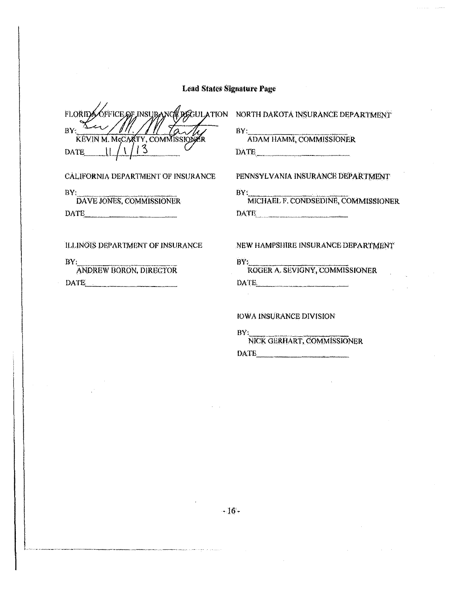**FLORIDA** óffice of insuran  $BY^2$ <sup> $\Delta$ </sup> KEVIN M. McCARTY, COMMISSION ξŖ.  $1/13$ DATE |

CALIFORNIA DEPARTMENT OF INSURANCE

 $BY_{\perp}$ DAVE JONES, COMMISSIONER

DATE PRIMER

ILLINOIS DEPARTMENT OF INSURANCE

 $BY_i$ 

ANDREW BORON, DIRECTOR DATE

**REGULATION** NORTH DAKOTA INSURANCE DEPARTMENT

BY:

**ADAM HAMM, COMMISSIONER** DATE

PENNSYLVANIA INSURANCE DEPARTMENT

BY: MICHAEL F. CONDSEDINE, COMMISSIONER DATE

### NEW HAMPSHIRE INSURANCE DEPARTMENT

BY: ROGER A. SEVIGNY, COMMISSIONER DATE

### IOWA INSURANCE DIVISION

BY:

 $\mathcal{L}^{\pm}$ 

NICK GERHART, COMMISSIONER DATE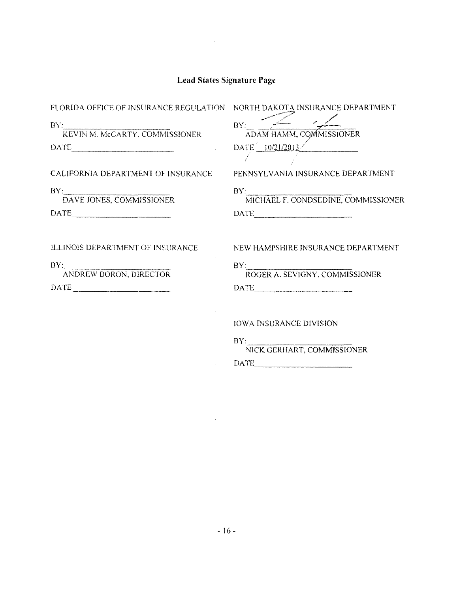$\sim 10^{11}$ 

V.

 $\mathcal{L}$ 

 $\sim 10^{-1}$ 

 $BY:$ 

KEVIN M. McCARTY. COMMISSIONER DATE PRIMERILLE

CALIFORNIA DEPARTMENT OF INSURANCE

BY:<br>DAVE JONES, COMMISSIONER

 $\begin{tabular}{c} DATE \end{tabular}$ 

ILUNOIS DEPARTMENT OF INSURANCE

 $BY:$ 

ANDREW BORON, DIRECTOR DATE ---

FLORIDA OFFICE OF INSURANCE REGULATION NORTH DAKOTA INSURANCE DEPARTMENT **BY:** ADAM HAMM, COMMISSIONER  $\text{DATE} \left( \frac{10}{21/2013} \right)$ 

 $\mathcal{A}$  and  $\mathcal{A}$ 

PENNSYLVANIA INSURANCE DEPARTMENT

BY: MICHAEL F. CONDSEDINE, COMMISSIONER  $\begin{tabular}{c} DATE \end{tabular}$ 

NEW HAMPSHlRE INSURANCE DEPARTMENT

BY:<br>ROGER A. SEVIGNY, COMMISSIONER DATE

IOWA INSURANCE DIVISION

 $BY:$ NICK GERHART. COMMISSIONER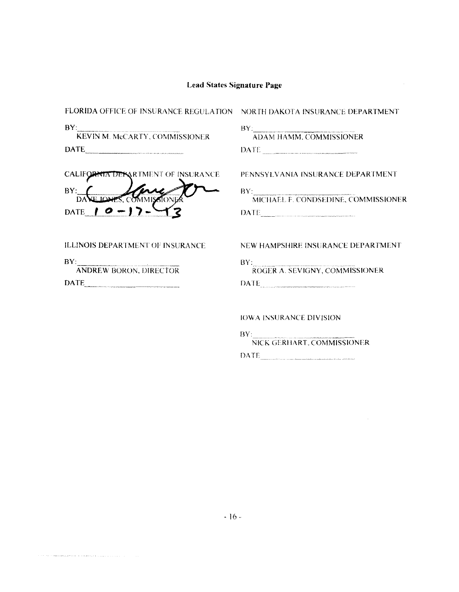| FLORIDA OFFICE OF INSURANCE REGULATION NORTH DAKOTA INSURANCE DEPARTMENT |                                                                                                                                                                                                                                                         |
|--------------------------------------------------------------------------|---------------------------------------------------------------------------------------------------------------------------------------------------------------------------------------------------------------------------------------------------------|
| BY:<br>KEVIN M. McCARTY, COMMISSIONER                                    | $BY_1$ and $Y_2$ and $Y_3$ and $Y_4$ and $Y_5$ and $Y_6$ and $Y_7$ and $Y_8$ and $Y_9$ and $Y_9$ and $Y_9$ and $Y_9$ and $Y_9$ and $Y_9$ and $Y_9$ and $Y_9$ and $Y_9$ and $Y_9$ and $Y_9$ and $Y_9$ and $Y_9$ and $Y_9$ and<br>ADAM HAMM, COMMISSIONER |
|                                                                          | $\begin{tabular}{ c c c } \hline \textbf{DATE} & \textbf{if} & \textbf{if} & \textbf{if} \\ \hline \end{tabular}$                                                                                                                                       |
| CALIFORNIA DERARTMENT OF INSURANCE                                       | PENNSYLVANIA INSURANCE DEPARTMENT                                                                                                                                                                                                                       |
| BY:                                                                      | BY: MICHAEL F. CONDSEDINE, COMMISSIONER                                                                                                                                                                                                                 |
| DATE   O -                                                               | $\overline{\text{DATE}}$                                                                                                                                                                                                                                |
| ILLINOIS DEPARTMENT OF INSURANCE                                         | NEW HAMPSHIRE INSURANCE DEPARTMENT                                                                                                                                                                                                                      |
| BY:<br><b>ANDREW BORON, DIRECTOR</b>                                     | BY: ROGER A. SEVIGNY, COMMISSIONER                                                                                                                                                                                                                      |
|                                                                          | DATE:                                                                                                                                                                                                                                                   |
|                                                                          | <b>IOWA INSURANCE DIVISION</b>                                                                                                                                                                                                                          |
|                                                                          | BY:<br>NICK GERHART, COMMISSIONER                                                                                                                                                                                                                       |

DATE

 $\hat{\mathcal{A}}$ 

 $\epsilon$  , and a summanifold denote the constraints of a single model  $\mu$  ,  $\mu$  ,  $\mu$  ,  $\mu$  ,  $\mu$  ,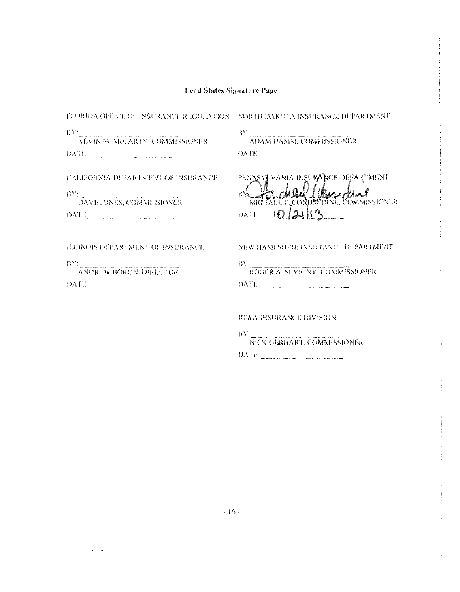| FLORIDA OFFICE OF INSURANCE REGULATION – NORTH DAKOTA INSURANCE DEPARTMENT                                                                                                                                                                                                                                                                                                                                                                                                                                                                                                                         |                                                                          |
|----------------------------------------------------------------------------------------------------------------------------------------------------------------------------------------------------------------------------------------------------------------------------------------------------------------------------------------------------------------------------------------------------------------------------------------------------------------------------------------------------------------------------------------------------------------------------------------------------|--------------------------------------------------------------------------|
|                                                                                                                                                                                                                                                                                                                                                                                                                                                                                                                                                                                                    |                                                                          |
| $\frac{\text{BYI}}{\text{KEYIN M. McCarthy, COMMISSIONER}}$                                                                                                                                                                                                                                                                                                                                                                                                                                                                                                                                        | BY: ADAM HAMM, COMMISSIONER                                              |
| DATE AND CONSTRUCTION OF REAL PROPERTY.                                                                                                                                                                                                                                                                                                                                                                                                                                                                                                                                                            | $\boxed{\text{DATE}}$                                                    |
| CALIFORNIA DEPARTMENT OF INSURANCE                                                                                                                                                                                                                                                                                                                                                                                                                                                                                                                                                                 | PENNSYLVANIA INSURANCE DEPARTMENT                                        |
| BY: DAVE JONES, COMMISSIONER                                                                                                                                                                                                                                                                                                                                                                                                                                                                                                                                                                       | 投资<br>MICHAEL F. CONDSEDINE, COMMISSIONER                                |
| DATE                                                                                                                                                                                                                                                                                                                                                                                                                                                                                                                                                                                               | DATE 10121                                                               |
| ILLINOIS DEPARTMENT OF INSURANCE<br>BY:<br>: <b>ANDREW BORON, DIRECTOR</b><br>$\textbf{DATE}_{\textcolor{red}{\textbf{m}}}\textcolor{red}{\textbf{1}}\textcolor{red}{\textbf{1}}\textcolor{red}{\textbf{1}}\textcolor{red}{\textbf{2}}\textcolor{red}{\textbf{1}}\textcolor{red}{\textbf{2}}\textcolor{red}{\textbf{1}}\textcolor{red}{\textbf{2}}\textcolor{red}{\textbf{2}}\textcolor{red}{\textbf{3}}\textcolor{red}{\textbf{3}}\textcolor{red}{\textbf{4}}\textcolor{red}{\textbf{5}}\textcolor{red}{\textbf{4}}\textcolor{red}{\textbf{5}}\textcolor{red}{\textbf{6}}\textcolor{red}{\textbf$ | NEW HAMPSHIRE INSURANCE DEPARTMENT<br>BY: ROGER A. SEVIGNY, COMMISSIONER |
|                                                                                                                                                                                                                                                                                                                                                                                                                                                                                                                                                                                                    | IOWA INSERANCE DIVISION                                                  |
|                                                                                                                                                                                                                                                                                                                                                                                                                                                                                                                                                                                                    | BY: NICK GERHART, COMMISSIONER                                           |
|                                                                                                                                                                                                                                                                                                                                                                                                                                                                                                                                                                                                    |                                                                          |

DATE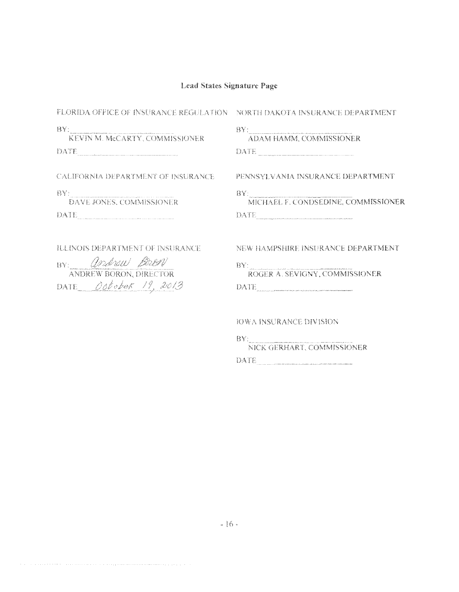| FLORIDA OFFICE OF INSURANCE REGULATION NORTH DAKOTA INSURANCE DEPARTMENT                               |                                                                                                                                                   |  |
|--------------------------------------------------------------------------------------------------------|---------------------------------------------------------------------------------------------------------------------------------------------------|--|
| RY:<br>KEVIN M. McCARTY, COMMISSIONER<br>DATE                                                          | $\mathbf{BV}$<br>ADAM HAMM, COMMISSIONER<br>DATE                                                                                                  |  |
| <b>CALIFORNIA DEPARTMENT OF INSURANCE</b>                                                              | PENNSYLVANIA INSURANCE DEPARTMENT                                                                                                                 |  |
| - BY : 1<br><b>DAVE JONES, COMMISSIONER</b><br>DATE                                                    | $\frac{\text{BY:}}{\text{MICHAEL F. CONDSEDINE, COMMISSIONER}}$                                                                                   |  |
| ILLINOIS DEPARTMENT OF INSURANCE<br>BY: andrew Brow<br>ANDREW BORON, DIRECTOR<br>DATE October 19, 2013 | NEW HAMPSHIRE INSURANCE DEPARTMENT<br>$\frac{\text{BY:}}{\text{ROGER}}$ A. SEVIGNY, COMMISSIONER<br>DATE                                          |  |
|                                                                                                        | IOWA INSURANCE DIVISION<br>DV v<br>1999 – versien provincia programma provincia provincia provincia e provincia comunicazione in provincia anno 1 |  |

NICK GERHART, COMMISSIONER DATE

 $\ell_{\rm eff}$  , and a constraint constraint in a constraint maximum maximum constraint in the set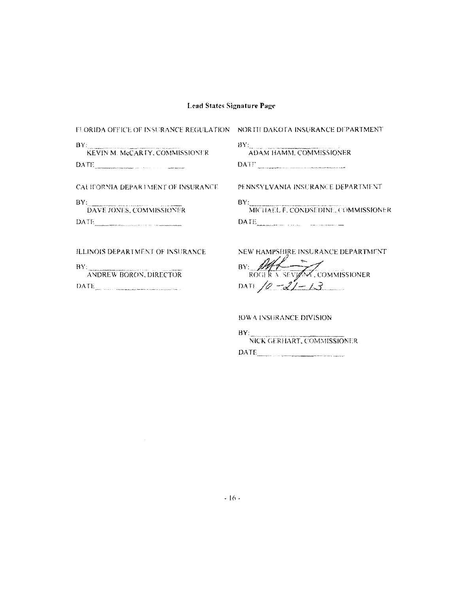FLORIDA OFFICE OF INSURANCE REGULATION NORTH DAKOTA INSURANCE DEPARTMENT

| BY:<br>тра други од ведери да набаба бил постои село у престата <u>серија, село се напред</u> елението населението средни преста<br>KEVIN M. McCARTY, COMMISSIONER |  |
|--------------------------------------------------------------------------------------------------------------------------------------------------------------------|--|
| DATE                                                                                                                                                               |  |

 $BY:$ ADAM HAMM, COMMISSIONER

CALIFORNIA DEPARTMENT OF INSURANCE

 $BY:$ **DAVE JONES, COMMISSIONER** DATE

| PENNSYLVANIA INSURANCE DEPARTMENT. |  |  |  |
|------------------------------------|--|--|--|
|------------------------------------|--|--|--|

 $BY:$ MICHAEL F. CONDSEDINE, COMMISSIONER 

ILLINOIS DEPARTMENT OF INSURANCE

 $\sim 10^7$ 

BY: ANDREW BORON, DIRECTOR DATE

NEW HAMPSHIRE INSURANCE DEPARTMENT BY:  $M\sqrt{\frac{1}{2}}$ , COMMISSIONER<br>DATL  $\sqrt{\rho}$  -2/ - 13

**IOWA INSURANCE DIVISION** 

 $BY:$ NICK GERHART, COMMISSIONER  $\overline{\text{DATE}}$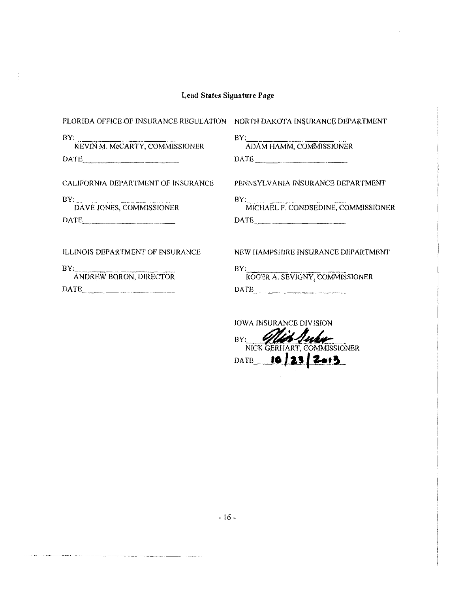| FLORIDA OFFICE OF INSURANCE REGULATION NORTH DAKOTA INSURANCE DEPARTMENT |                                                  |
|--------------------------------------------------------------------------|--------------------------------------------------|
| BY.<br>:<br>KEVIN M. McCARTY, COMMISSIONER<br>DATE                       | $\frac{\rm BY:}{\rm ADAM\,HAMM, \,COMMISSIONER}$ |
| CALIFORNIA DEPARTMENT OF INSURANCE                                       | PENNSYLVANIA INSURANCE DEPARTMENT                |
| BY: DAVE JONES, COMMISSIONER                                             | BY: MICHAEL F. CONDSEDINE, COMMISSIONER          |
| DATE                                                                     | DATE                                             |
| ILLINOIS DEPARTMENT OF INSURANCE                                         | NEW HAMPSHIRE INSURANCE DEPARTMENT               |
| BY: ANDREW BORON, DIRECTOR                                               | BY: ROGER A. SEVIGNY, COMMISSIONER               |
| DATE                                                                     | DATE                                             |
|                                                                          | <b>JOWA INSURANCE DIVISION</b>                   |

BY: VICTO JUNIOR

DATE **10 23 2413** 

- i6.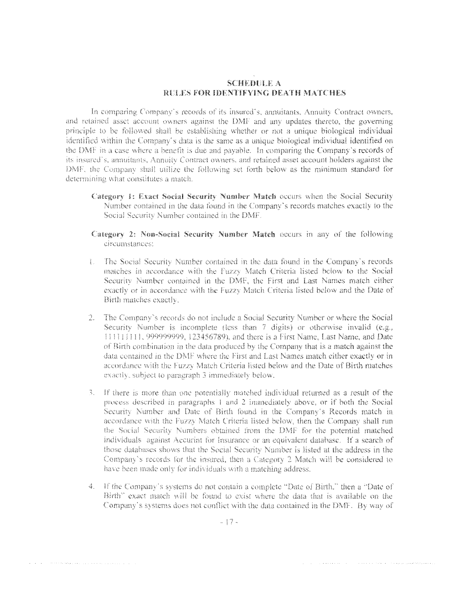### **SCHEDULE A** RELES FOR IDENTIFYING DEATH MATCHES

In comparing Company's records of its insured's, annuitants, Annuity Contract owners, and retained asset account owners against the DMF and any updates thereto, the governing principle to be followed shall be establishing whether or not a unique biological individual identified within the Company's data is the same as a unique biological individual identified on the DMF in a case where a benefit is due and payable. In comparing the Company's records of its insured's, annuitants, Annuity Contract owners, and retained asset account holders against the DMF, the Company shall utilize the following set forth below as the minimum standard for determining what constitutes a match.

- Category 1: Exact Social Security Number Match occurs when the Social Security Number contained in the data found in the Company's records matches exactly to the Social Security Number contained in the DMF.
- Category 2: Non-Social Security Number Match occurs in any of the following circumstances:
- L. The Social Security Number contained in the data found in the Company's records matches in accordance with the Fuzzy Match Criteria listed below to the Social Security Number contained in the DMF, the First and Last Names match either exactly or in accordance with the Fuzzy Match Criteria listed below and the Date of Birth matches exactly.
- 2. The Company's records do not include a Social Security Number or where the Social Security Number is incomplete (less than 7 digits) or otherwise invalid (e.g., [1111111], 999999999, 123456789), and there is a First Name, Last Name, and Date of Birth combination in the data produced by the Company that is a match against the data contained in the DMF where the First and Last Names match either exactly or in accordance with the Fuzzy Match Criteria listed below and the Date of Birth matches exactly, subject to paragraph 3 immediately below.
- 3. If there is more than one potentially matched individual returned as a result of the process described in paragraphs 1 and 2 immediately above, or if both the Social Security Number and Date of Birth found in the Company's Records match in accordance with the Fuzzy Match Criteria listed below, then the Company shall run the Social Security Numbers obtained from the DMF for the potential matched individuals against Accurint for Insurance or an equivalent database. If a search of those databases shows that the Social Security Number is listed at the address in the Company's records for the insured, then a Category 2 Match will be considered to have been made only for individuals with a matching address.
- 4. If the Company's systems do not contain a complete "Date of Birth," then a "Date of Birth" exact match will be found to exist where the data that is available on the Company's systems does not conflict with the data contained in the DMF. By way of

and the construction of the contract of the contract of the contract completely are contracted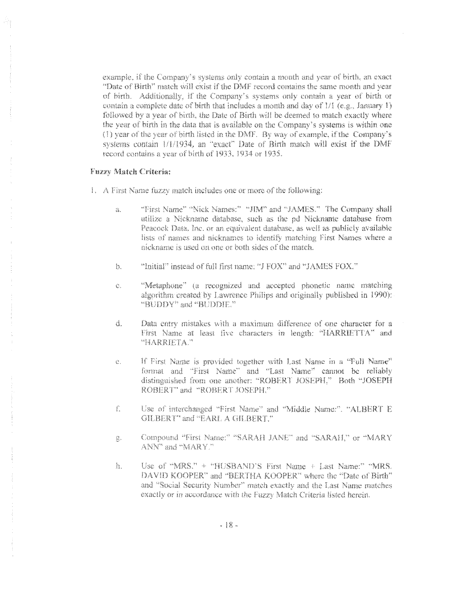example, if the Company's systems only contain a month and year of birth, an exact "Date of Birth" match will exist if the DMF record contains the same month and year of birth. Additionally, if the Company's systems only contain a year of birth or contain a complete date of birth that includes a month and day of 1/1 (e.g., January 1) followed by a year of birth, the Date of Birth will be deemed to match exactly where the year of birth in the data that is available on the Company's systems is within one (1) year of the year of birth listed in the DMF. By way of example, if the Company's systems contain 1/1/1934, an "exact" Date of Birth match will exist if the DMF record contains a year of birth of 1933, 1934 or 1935.

#### Fuzzy Match Criteria:

- 1. A First Name fuzzy match includes one or more of the following:
	- "First Name" "Nick Names:" "JIM" and "JAMES." The Company shall ä. utilize a Nickname database, such as the pd Nickname database from Peacock Data, Inc. or an equivalent database, as well as publicly available lists of names and nicknames to identify matching First Names where a nickname is used on one or both sides of the match.
	- "Initial" instead of full first name: "J FOX" and "JAMES FOX." b.
	- "Metaphone" (a recognized and accepted phonetic name matching  $\mathbb{C}$ . algorithm created by Lawrence Philips and originally published in 1990): "BUDDY" and "BUDDIE."
	- á. Data entry mistakes with a maximum difference of one character for a First Name at least five characters in length: "HARRIETTA" and "HARRIETA."
	- If First Name is provided together with Last Name in a "Full Name"  $\mathbb{C}$  . format and "First Name" and "Last Name" cannot be reliably distinguished from one another: "ROBERT JOSEPH." Both "JOSEPH ROBERT" and "ROBERT JOSEPH."
	- $\int_{-\infty}^{\infty}$ Use of interchanged "First Name" and "Middle Name:". "ALBERT E GILBERT" and "EARL A GILBERT."
	- Compound "First Name:" "SARAH JANE" and "SARAH," or "MARY  $\frac{1}{2}$ ANN" and "MARY."
	- ł. Use of "MRS."  $+$  "HUSBAND'S First Name  $+$  Last Name:" "MRS. DAVID KOOPER" and "BERTHA KOOPER" where the "Date of Birth" and "Social Security Number" match exactly and the Last Name matches exactly or in accordance with the Fuzzy Match Criteria listed herein.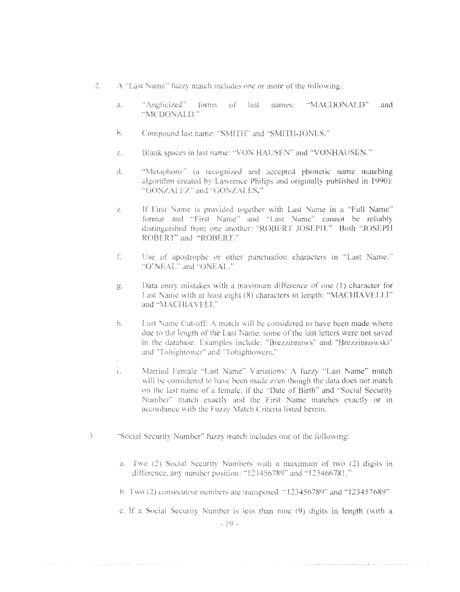- 2. A "Last Name" fuzzy match includes one or more of the following:
	- "Anglicized" forms of last names: "MACDONALD"  $\mathcal{Z}_\infty$ and. "MCDONALD."
	- Compound last name: "SMITH" and "SMITH-JONES." h.
	- Blank spaces in last name: "VON HAUSEN" and "VONHAUSEN."  $\hat{C}_{\infty}$
	- $\overrightarrow{a}$ . "Metaphone" (a recognized and accepted phonetic name matching algorithm created by Lawrence Philips and originally published in 1990): "GONZALEZ" and "GONZALES."
	- If First Name is provided together with Last Name in a "Full Name"  $\mathbb{Q}_+$ format and "First Name" and "Last Name" cannot be reliably distinguished from one another: "ROBERT JOSEPH." Both "JOSEPH ROBERT' and "ROBERT."
	- $\int_{\frac{1}{2}}^{2\pi}$ Use of apostrophe or other punctuation characters in "Last Name:" "O'NEAL" and "ONEAL."
	- Data entry mistakes with a maximum difference of one (1) character for  $\bigcup_{\mathsf{dim}\,\mathsf{V}}$ Last Name with at least eight (8) characters in length: "MACHIAVELLI" and "MACHIAVELL"
	- Last Name Cut-off: A match will be considered to have been made where h. due to the length of the Last Name, some of the last letters were not saved in the database. Examples include: "Brezzinnows" and "Brezzinnowski" and "Tohightower" and "Tohightowers."
	- i. Married Female "Last Name" Variations: A fuzzy "Last Name" match will be considered to have been made even though the data does not match. on the last name of a female, if the "Date of Birth" and "Social Security Number" match exactly and the First Name matches exactly or in accordance with the Fuzzy Match Criteria listed herein.
- 3. "Social Security Number" fuzzy match includes one of the following:
	- a. Two (2) Social Security Numbers with a maximum of two (2) digits in difference, any number position: "123456789" and "123466781."
	- b. Two (2) consecutive numbers are transposed: "123456789" and "123457689"
	- c. If a Social Security Number is less than nine (9) digits in length (with a  $-10$ .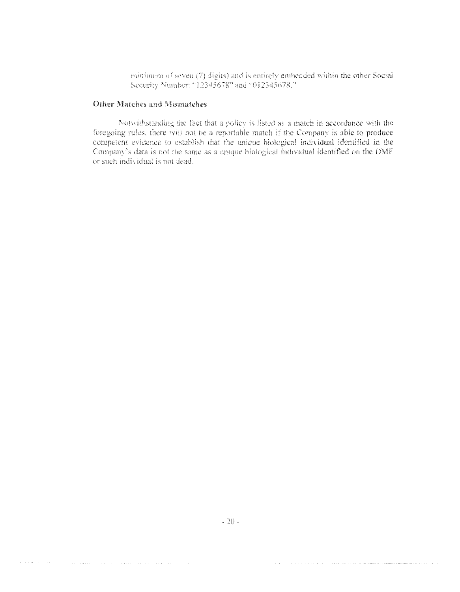minimum of seven (7) digits) and is entirely embedded within the other Social Security Number: "12345678" and "012345678."

### **Other Matches and Mismatches**

Notwithstanding the fact that a policy is listed as a match in accordance with the foregoing rules, there will not be a reportable match if the Company is able to produce competent evidence to establish that the unique bio Company's data is not the same as a unique biological individual identified on the DMF or such individual is not dead.

.<br>1980 - Paul II, papa pada pada pada tahun 1980 mengentuk pengemuntan mengemuntan mengemuntan di Perenteran

.<br>Otto ta kara ta alta da karaman manana kara ta ta aka shekara kara kara kara ta kara kara kara ta kara shekara